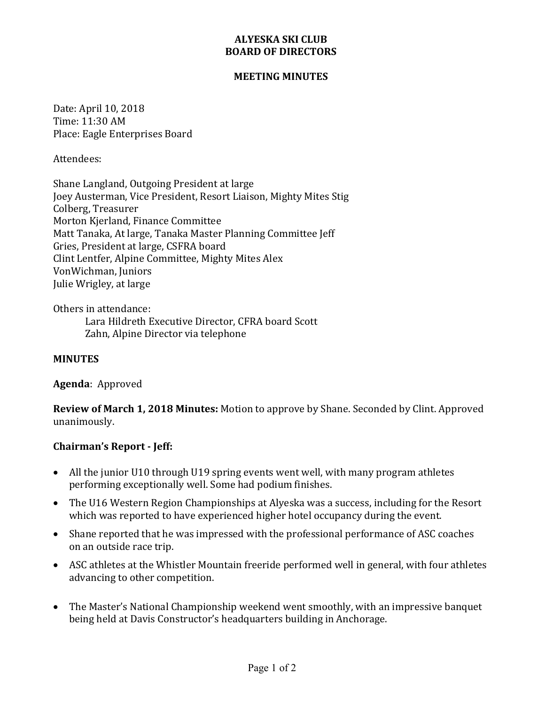## **ALYESKA SKI CLUB BOARD OF DIRECTORS**

#### **MEETING MINUTES**

Date: April 10, 2018 Time: 11:30 AM Place: Eagle Enterprises Board

Attendees:

Shane Langland, Outgoing President at large Joey Austerman, Vice President, Resort Liaison, Mighty Mites Stig Colberg, Treasurer Morton Kierland, Finance Committee Matt Tanaka, At large, Tanaka Master Planning Committee Jeff Gries, President at large, CSFRA board Clint Lentfer, Alpine Committee, Mighty Mites Alex VonWichman, Juniors Julie Wrigley, at large

Others in attendance: Lara Hildreth Executive Director, CFRA board Scott Zahn, Alpine Director via telephone

### **MINUTES**

**Agenda**: Approved

**Review of March 1, 2018 Minutes:** Motion to approve by Shane. Seconded by Clint. Approved unanimously.

### **Chairman's Report - Jeff:**

- All the junior U10 through U19 spring events went well, with many program athletes performing exceptionally well. Some had podium finishes.
- The U16 Western Region Championships at Alyeska was a success, including for the Resort which was reported to have experienced higher hotel occupancy during the event.
- Shane reported that he was impressed with the professional performance of ASC coaches on an outside race trip.
- ASC athletes at the Whistler Mountain freeride performed well in general, with four athletes advancing to other competition.
- The Master's National Championship weekend went smoothly, with an impressive banquet being held at Davis Constructor's headquarters building in Anchorage.